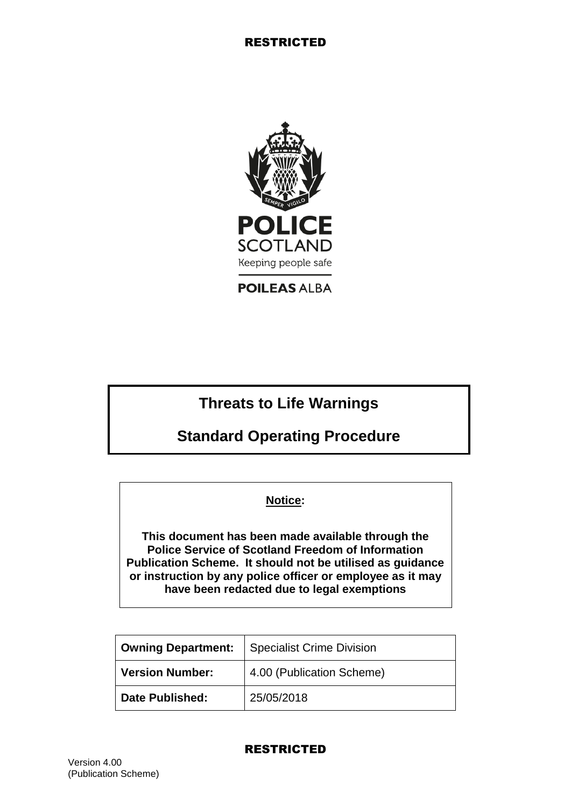

**POILEAS ALBA** 

# **Threats to Life Warnings**

**Standard Operating Procedure**

## **Notice:**

**This document has been made available through the Police Service of Scotland Freedom of Information Publication Scheme. It should not be utilised as guidance or instruction by any police officer or employee as it may have been redacted due to legal exemptions**

| <b>Owning Department:</b> | <b>Specialist Crime Division</b> |
|---------------------------|----------------------------------|
| <b>Version Number:</b>    | 4.00 (Publication Scheme)        |
| <b>Date Published:</b>    | 25/05/2018                       |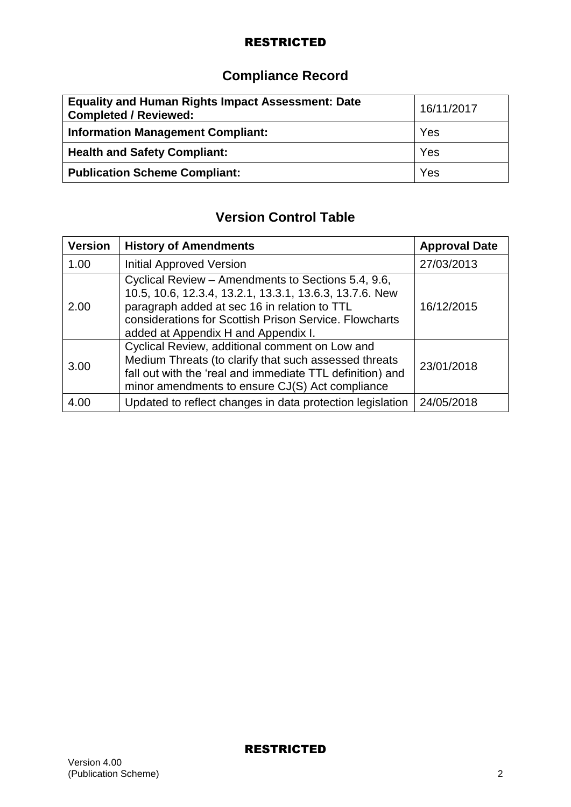# **Compliance Record**

| <b>Equality and Human Rights Impact Assessment: Date</b><br><b>Completed / Reviewed:</b> | 16/11/2017 |
|------------------------------------------------------------------------------------------|------------|
| <b>Information Management Compliant:</b>                                                 | Yes        |
| <b>Health and Safety Compliant:</b>                                                      | Yes        |
| <b>Publication Scheme Compliant:</b>                                                     | Yes        |

# **Version Control Table**

| <b>Version</b> | <b>History of Amendments</b>                                                                                                                                                                                                                                   | <b>Approval Date</b> |
|----------------|----------------------------------------------------------------------------------------------------------------------------------------------------------------------------------------------------------------------------------------------------------------|----------------------|
| 1.00           | <b>Initial Approved Version</b>                                                                                                                                                                                                                                | 27/03/2013           |
| 2.00           | Cyclical Review - Amendments to Sections 5.4, 9.6,<br>10.5, 10.6, 12.3.4, 13.2.1, 13.3.1, 13.6.3, 13.7.6. New<br>paragraph added at sec 16 in relation to TTL<br>considerations for Scottish Prison Service. Flowcharts<br>added at Appendix H and Appendix I. | 16/12/2015           |
| 3.00           | Cyclical Review, additional comment on Low and<br>Medium Threats (to clarify that such assessed threats<br>fall out with the 'real and immediate TTL definition) and<br>minor amendments to ensure CJ(S) Act compliance                                        | 23/01/2018           |
| 4.00           | Updated to reflect changes in data protection legislation                                                                                                                                                                                                      | 24/05/2018           |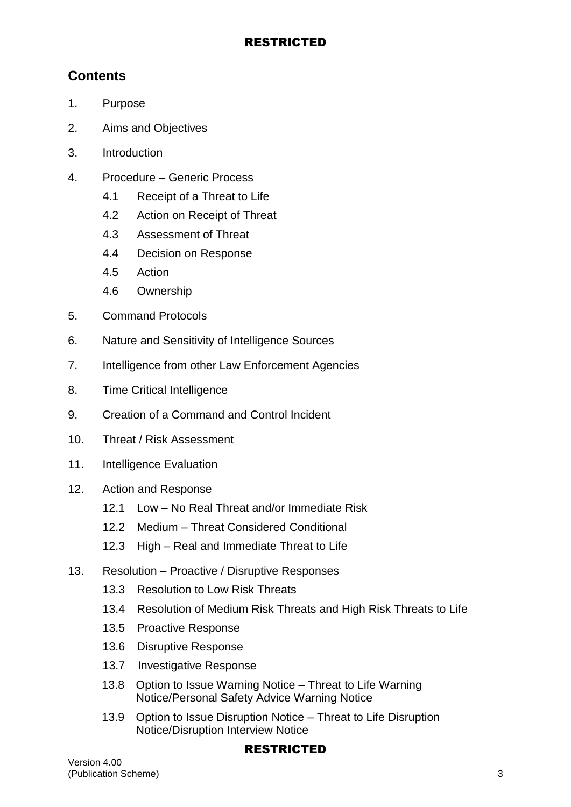# **Contents**

- 1. Purpose
- 2. Aims and Objectives
- 3. Introduction
- 4. Procedure Generic Process
	- 4.1 Receipt of a Threat to Life
	- 4.2 Action on Receipt of Threat
	- 4.3 Assessment of Threat
	- 4.4 Decision on Response
	- 4.5 Action
	- 4.6 Ownership
- 5. Command Protocols
- 6. Nature and Sensitivity of Intelligence Sources
- 7. Intelligence from other Law Enforcement Agencies
- 8. Time Critical Intelligence
- 9. Creation of a Command and Control Incident
- 10. Threat / Risk Assessment
- 11. Intelligence Evaluation
- 12. Action and Response
	- 12.1 Low No Real Threat and/or Immediate Risk
	- 12.2 Medium Threat Considered Conditional
	- 12.3 High Real and Immediate Threat to Life
- 13. Resolution Proactive / Disruptive Responses
	- 13.3 Resolution to Low Risk Threats
	- 13.4 Resolution of Medium Risk Threats and High Risk Threats to Life
	- 13.5 Proactive Response
	- 13.6 Disruptive Response
	- 13.7 Investigative Response
	- 13.8 Option to Issue Warning Notice Threat to Life Warning Notice/Personal Safety Advice Warning Notice
	- 13.9 Option to Issue Disruption Notice Threat to Life Disruption Notice/Disruption Interview Notice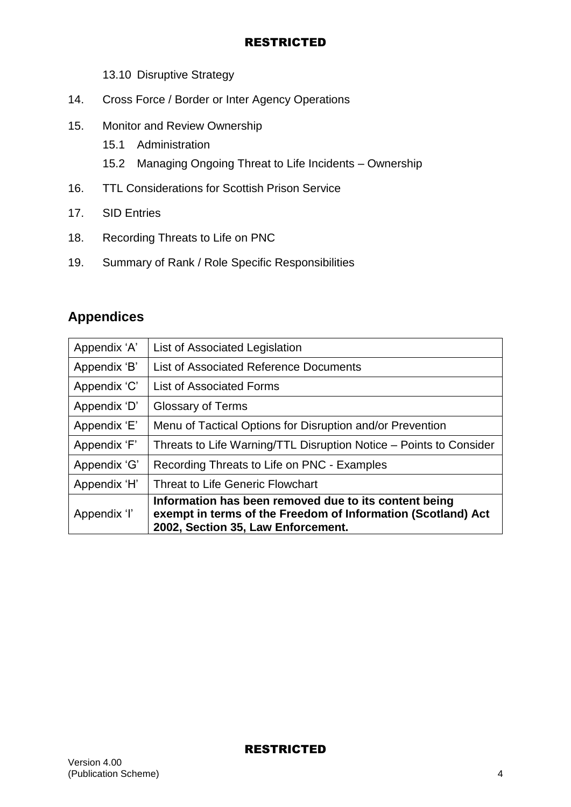13.10 Disruptive Strategy

- 14. Cross Force / Border or Inter Agency Operations
- 15. Monitor and Review Ownership
	- 15.1 Administration
	- 15.2 Managing Ongoing Threat to Life Incidents Ownership
- 16. TTL Considerations for Scottish Prison Service
- 17. SID Entries
- 18. Recording Threats to Life on PNC
- 19. Summary of Rank / Role Specific Responsibilities

# **Appendices**

| Appendix 'B'<br>Appendix 'C'<br>Appendix 'D'<br>Appendix 'E'<br>Threats to Life Warning/TTL Disruption Notice - Points to Consider<br>Appendix 'F' |                                                                                       |
|----------------------------------------------------------------------------------------------------------------------------------------------------|---------------------------------------------------------------------------------------|
|                                                                                                                                                    | <b>Glossary of Terms</b><br>Menu of Tactical Options for Disruption and/or Prevention |
|                                                                                                                                                    | List of Associated Reference Documents<br><b>List of Associated Forms</b>             |
| Appendix 'A'                                                                                                                                       | List of Associated Legislation                                                        |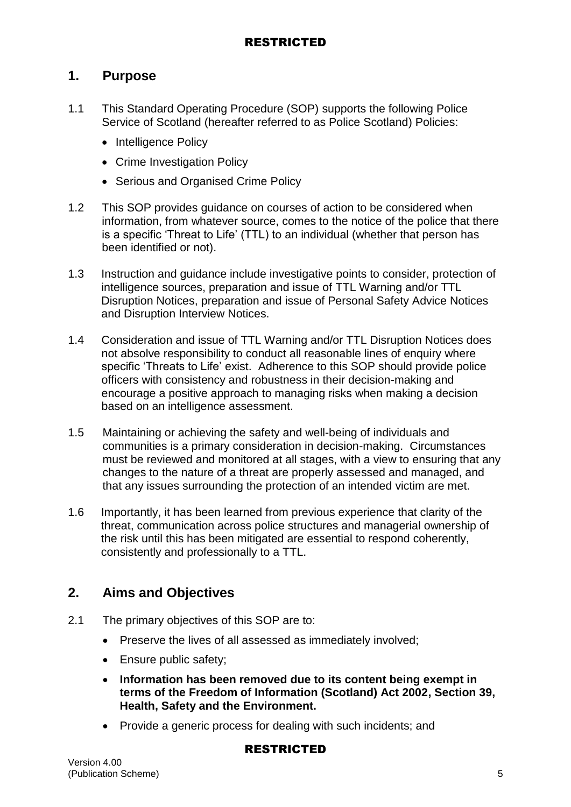## **1. Purpose**

- 1.1 This Standard Operating Procedure (SOP) supports the following Police Service of Scotland (hereafter referred to as Police Scotland) Policies:
	- Intelligence Policy
	- Crime Investigation Policy
	- Serious and Organised Crime Policy
- 1.2 This SOP provides guidance on courses of action to be considered when information, from whatever source, comes to the notice of the police that there is a specific 'Threat to Life' (TTL) to an individual (whether that person has been identified or not).
- 1.3 Instruction and guidance include investigative points to consider, protection of intelligence sources, preparation and issue of TTL Warning and/or TTL Disruption Notices, preparation and issue of Personal Safety Advice Notices and Disruption Interview Notices.
- 1.4 Consideration and issue of TTL Warning and/or TTL Disruption Notices does not absolve responsibility to conduct all reasonable lines of enquiry where specific 'Threats to Life' exist. Adherence to this SOP should provide police officers with consistency and robustness in their decision-making and encourage a positive approach to managing risks when making a decision based on an intelligence assessment.
- 1.5 Maintaining or achieving the safety and well-being of individuals and communities is a primary consideration in decision-making. Circumstances must be reviewed and monitored at all stages, with a view to ensuring that any changes to the nature of a threat are properly assessed and managed, and that any issues surrounding the protection of an intended victim are met.
- 1.6 Importantly, it has been learned from previous experience that clarity of the threat, communication across police structures and managerial ownership of the risk until this has been mitigated are essential to respond coherently, consistently and professionally to a TTL.

# **2. Aims and Objectives**

- 2.1 The primary objectives of this SOP are to:
	- Preserve the lives of all assessed as immediately involved;
	- Ensure public safety;
	- **Information has been removed due to its content being exempt in terms of the Freedom of Information (Scotland) Act 2002, Section 39, Health, Safety and the Environment.**
	- Provide a generic process for dealing with such incidents; and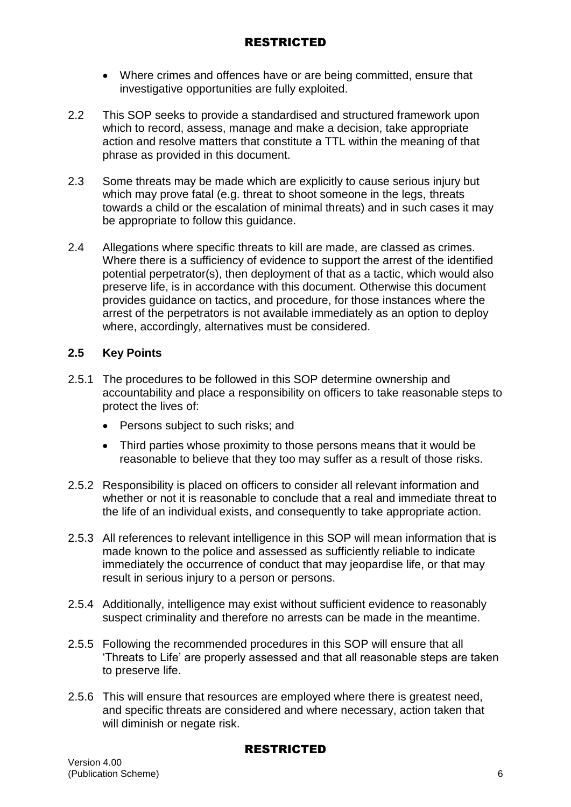- Where crimes and offences have or are being committed, ensure that investigative opportunities are fully exploited.
- 2.2 This SOP seeks to provide a standardised and structured framework upon which to record, assess, manage and make a decision, take appropriate action and resolve matters that constitute a TTL within the meaning of that phrase as provided in this document.
- 2.3 Some threats may be made which are explicitly to cause serious injury but which may prove fatal (e.g. threat to shoot someone in the legs, threats towards a child or the escalation of minimal threats) and in such cases it may be appropriate to follow this guidance.
- 2.4 Allegations where specific threats to kill are made, are classed as crimes. Where there is a sufficiency of evidence to support the arrest of the identified potential perpetrator(s), then deployment of that as a tactic, which would also preserve life, is in accordance with this document. Otherwise this document provides guidance on tactics, and procedure, for those instances where the arrest of the perpetrators is not available immediately as an option to deploy where, accordingly, alternatives must be considered.

#### **2.5 Key Points**

- 2.5.1 The procedures to be followed in this SOP determine ownership and accountability and place a responsibility on officers to take reasonable steps to protect the lives of:
	- Persons subject to such risks; and
	- Third parties whose proximity to those persons means that it would be reasonable to believe that they too may suffer as a result of those risks.
- 2.5.2 Responsibility is placed on officers to consider all relevant information and whether or not it is reasonable to conclude that a real and immediate threat to the life of an individual exists, and consequently to take appropriate action.
- 2.5.3 All references to relevant intelligence in this SOP will mean information that is made known to the police and assessed as sufficiently reliable to indicate immediately the occurrence of conduct that may jeopardise life, or that may result in serious injury to a person or persons.
- 2.5.4 Additionally, intelligence may exist without sufficient evidence to reasonably suspect criminality and therefore no arrests can be made in the meantime.
- 2.5.5 Following the recommended procedures in this SOP will ensure that all 'Threats to Life' are properly assessed and that all reasonable steps are taken to preserve life.
- 2.5.6 This will ensure that resources are employed where there is greatest need, and specific threats are considered and where necessary, action taken that will diminish or negate risk.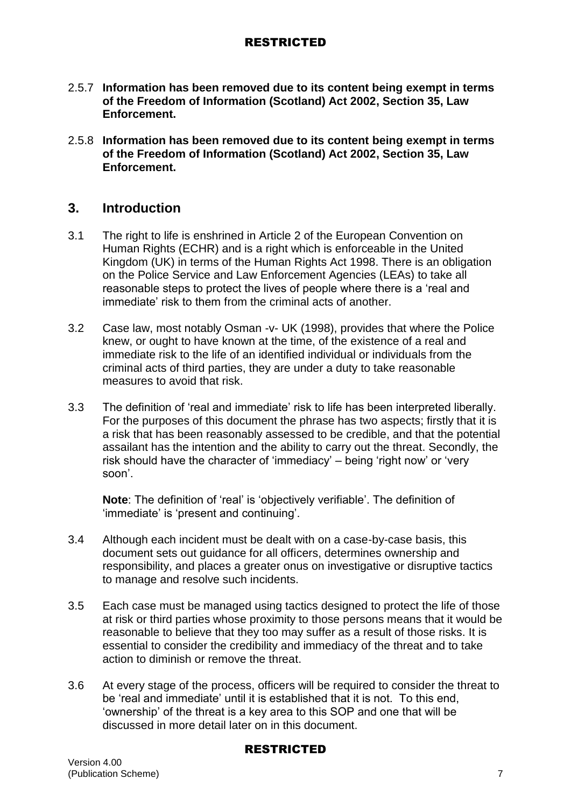- 2.5.7 **Information has been removed due to its content being exempt in terms of the Freedom of Information (Scotland) Act 2002, Section 35, Law Enforcement.**
- 2.5.8 **Information has been removed due to its content being exempt in terms of the Freedom of Information (Scotland) Act 2002, Section 35, Law Enforcement.**

## **3. Introduction**

- 3.1 The right to life is enshrined in Article 2 of the European Convention on Human Rights (ECHR) and is a right which is enforceable in the United Kingdom (UK) in terms of the Human Rights Act 1998. There is an obligation on the Police Service and Law Enforcement Agencies (LEAs) to take all reasonable steps to protect the lives of people where there is a 'real and immediate' risk to them from the criminal acts of another.
- 3.2 Case law, most notably Osman -v- UK (1998), provides that where the Police knew, or ought to have known at the time, of the existence of a real and immediate risk to the life of an identified individual or individuals from the criminal acts of third parties, they are under a duty to take reasonable measures to avoid that risk.
- 3.3 The definition of 'real and immediate' risk to life has been interpreted liberally. For the purposes of this document the phrase has two aspects; firstly that it is a risk that has been reasonably assessed to be credible, and that the potential assailant has the intention and the ability to carry out the threat. Secondly, the risk should have the character of 'immediacy' – being 'right now' or 'very soon'.

**Note**: The definition of 'real' is 'objectively verifiable'. The definition of 'immediate' is 'present and continuing'.

- 3.4 Although each incident must be dealt with on a case-by-case basis, this document sets out guidance for all officers, determines ownership and responsibility, and places a greater onus on investigative or disruptive tactics to manage and resolve such incidents.
- 3.5 Each case must be managed using tactics designed to protect the life of those at risk or third parties whose proximity to those persons means that it would be reasonable to believe that they too may suffer as a result of those risks. It is essential to consider the credibility and immediacy of the threat and to take action to diminish or remove the threat.
- 3.6 At every stage of the process, officers will be required to consider the threat to be 'real and immediate' until it is established that it is not. To this end, 'ownership' of the threat is a key area to this SOP and one that will be discussed in more detail later on in this document.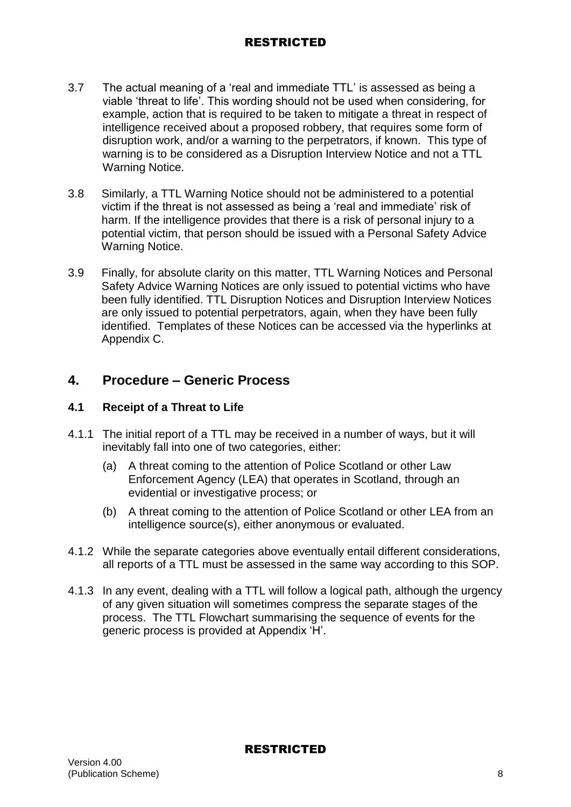- 3.7 The actual meaning of a 'real and immediate TTL' is assessed as being a viable 'threat to life'. This wording should not be used when considering, for example, action that is required to be taken to mitigate a threat in respect of intelligence received about a proposed robbery, that requires some form of disruption work, and/or a warning to the perpetrators, if known. This type of warning is to be considered as a Disruption Interview Notice and not a TTL Warning Notice.
- 3.8 Similarly, a TTL Warning Notice should not be administered to a potential victim if the threat is not assessed as being a 'real and immediate' risk of harm. If the intelligence provides that there is a risk of personal injury to a potential victim, that person should be issued with a Personal Safety Advice Warning Notice.
- 3.9 Finally, for absolute clarity on this matter, TTL Warning Notices and Personal Safety Advice Warning Notices are only issued to potential victims who have been fully identified. TTL Disruption Notices and Disruption Interview Notices are only issued to potential perpetrators, again, when they have been fully identified. Templates of these Notices can be accessed via the hyperlinks at Appendix C.

# **4. Procedure – Generic Process**

## **4.1 Receipt of a Threat to Life**

- 4.1.1 The initial report of a TTL may be received in a number of ways, but it will inevitably fall into one of two categories, either:
	- (a) A threat coming to the attention of Police Scotland or other Law Enforcement Agency (LEA) that operates in Scotland, through an evidential or investigative process; or
	- (b) A threat coming to the attention of Police Scotland or other LEA from an intelligence source(s), either anonymous or evaluated.
- 4.1.2 While the separate categories above eventually entail different considerations, all reports of a TTL must be assessed in the same way according to this SOP.
- 4.1.3 In any event, dealing with a TTL will follow a logical path, although the urgency of any given situation will sometimes compress the separate stages of the process. The TTL Flowchart summarising the sequence of events for the generic process is provided at Appendix 'H'.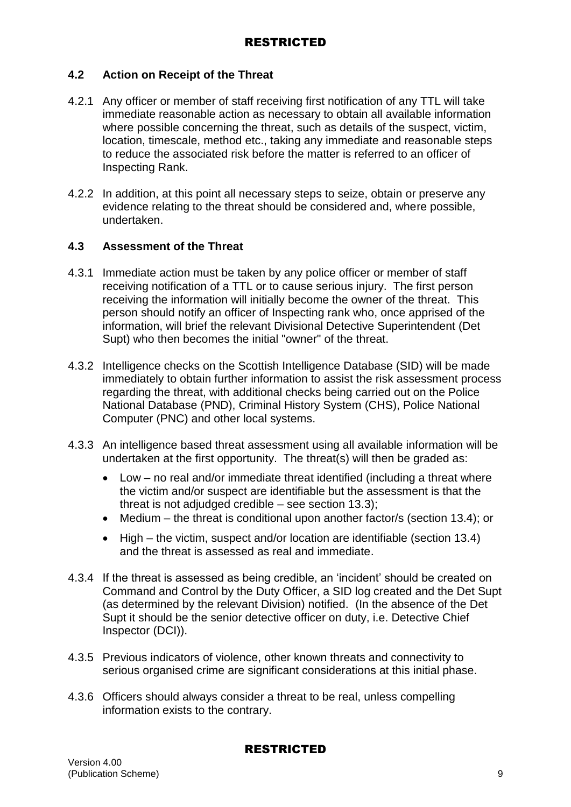### **4.2 Action on Receipt of the Threat**

- 4.2.1 Any officer or member of staff receiving first notification of any TTL will take immediate reasonable action as necessary to obtain all available information where possible concerning the threat, such as details of the suspect, victim, location, timescale, method etc., taking any immediate and reasonable steps to reduce the associated risk before the matter is referred to an officer of Inspecting Rank.
- 4.2.2 In addition, at this point all necessary steps to seize, obtain or preserve any evidence relating to the threat should be considered and, where possible, undertaken.

#### **4.3 Assessment of the Threat**

- 4.3.1 Immediate action must be taken by any police officer or member of staff receiving notification of a TTL or to cause serious injury. The first person receiving the information will initially become the owner of the threat. This person should notify an officer of Inspecting rank who, once apprised of the information, will brief the relevant Divisional Detective Superintendent (Det Supt) who then becomes the initial "owner" of the threat.
- 4.3.2 Intelligence checks on the Scottish Intelligence Database (SID) will be made immediately to obtain further information to assist the risk assessment process regarding the threat, with additional checks being carried out on the Police National Database (PND), Criminal History System (CHS), Police National Computer (PNC) and other local systems.
- 4.3.3 An intelligence based threat assessment using all available information will be undertaken at the first opportunity. The threat(s) will then be graded as:
	- Low no real and/or immediate threat identified (including a threat where the victim and/or suspect are identifiable but the assessment is that the threat is not adjudged credible – see section 13.3);
	- Medium the threat is conditional upon another factor/s (section 13.4); or
	- High the victim, suspect and/or location are identifiable (section 13.4) and the threat is assessed as real and immediate.
- 4.3.4 If the threat is assessed as being credible, an 'incident' should be created on Command and Control by the Duty Officer, a SID log created and the Det Supt (as determined by the relevant Division) notified. (In the absence of the Det Supt it should be the senior detective officer on duty, i.e. Detective Chief Inspector (DCI)).
- 4.3.5 Previous indicators of violence, other known threats and connectivity to serious organised crime are significant considerations at this initial phase.
- 4.3.6 Officers should always consider a threat to be real, unless compelling information exists to the contrary.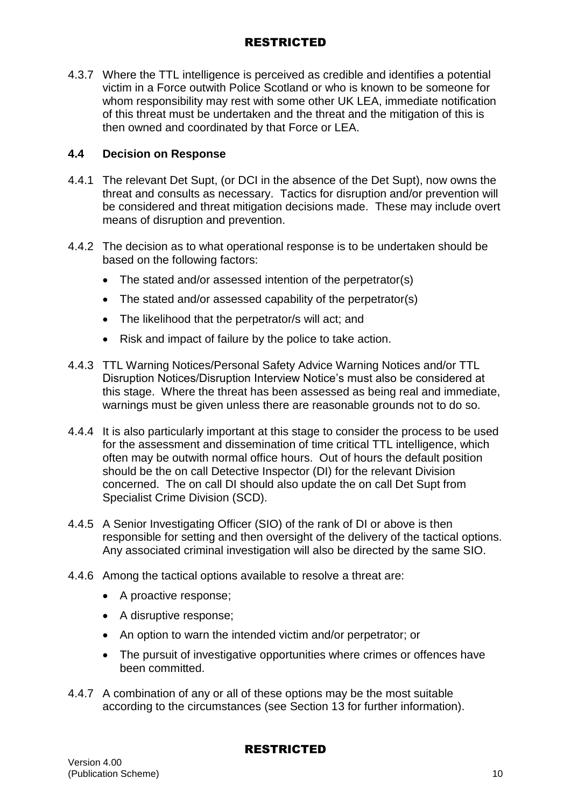4.3.7 Where the TTL intelligence is perceived as credible and identifies a potential victim in a Force outwith Police Scotland or who is known to be someone for whom responsibility may rest with some other UK LEA, immediate notification of this threat must be undertaken and the threat and the mitigation of this is then owned and coordinated by that Force or LEA.

## **4.4 Decision on Response**

- 4.4.1 The relevant Det Supt, (or DCI in the absence of the Det Supt), now owns the threat and consults as necessary. Tactics for disruption and/or prevention will be considered and threat mitigation decisions made. These may include overt means of disruption and prevention.
- 4.4.2 The decision as to what operational response is to be undertaken should be based on the following factors:
	- The stated and/or assessed intention of the perpetrator(s)
	- The stated and/or assessed capability of the perpetrator(s)
	- The likelihood that the perpetrator/s will act; and
	- Risk and impact of failure by the police to take action.
- 4.4.3 TTL Warning Notices/Personal Safety Advice Warning Notices and/or TTL Disruption Notices/Disruption Interview Notice's must also be considered at this stage. Where the threat has been assessed as being real and immediate, warnings must be given unless there are reasonable grounds not to do so.
- 4.4.4 It is also particularly important at this stage to consider the process to be used for the assessment and dissemination of time critical TTL intelligence, which often may be outwith normal office hours. Out of hours the default position should be the on call Detective Inspector (DI) for the relevant Division concerned. The on call DI should also update the on call Det Supt from Specialist Crime Division (SCD).
- 4.4.5 A Senior Investigating Officer (SIO) of the rank of DI or above is then responsible for setting and then oversight of the delivery of the tactical options. Any associated criminal investigation will also be directed by the same SIO.
- 4.4.6 Among the tactical options available to resolve a threat are:
	- A proactive response:
	- A disruptive response;
	- An option to warn the intended victim and/or perpetrator; or
	- The pursuit of investigative opportunities where crimes or offences have been committed.
- 4.4.7 A combination of any or all of these options may be the most suitable according to the circumstances (see Section 13 for further information).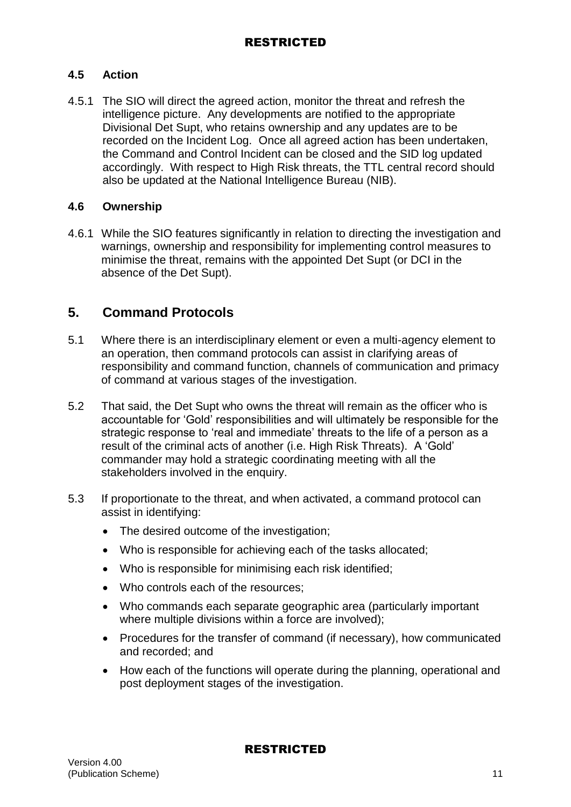## **4.5 Action**

4.5.1 The SIO will direct the agreed action, monitor the threat and refresh the intelligence picture. Any developments are notified to the appropriate Divisional Det Supt, who retains ownership and any updates are to be recorded on the Incident Log. Once all agreed action has been undertaken, the Command and Control Incident can be closed and the SID log updated accordingly. With respect to High Risk threats, the TTL central record should also be updated at the National Intelligence Bureau (NIB).

#### **4.6 Ownership**

4.6.1 While the SIO features significantly in relation to directing the investigation and warnings, ownership and responsibility for implementing control measures to minimise the threat, remains with the appointed Det Supt (or DCI in the absence of the Det Supt).

## **5. Command Protocols**

- 5.1 Where there is an interdisciplinary element or even a multi-agency element to an operation, then command protocols can assist in clarifying areas of responsibility and command function, channels of communication and primacy of command at various stages of the investigation.
- 5.2 That said, the Det Supt who owns the threat will remain as the officer who is accountable for 'Gold' responsibilities and will ultimately be responsible for the strategic response to 'real and immediate' threats to the life of a person as a result of the criminal acts of another (i.e. High Risk Threats). A 'Gold' commander may hold a strategic coordinating meeting with all the stakeholders involved in the enquiry.
- 5.3 If proportionate to the threat, and when activated, a command protocol can assist in identifying:
	- The desired outcome of the investigation;
	- Who is responsible for achieving each of the tasks allocated;
	- Who is responsible for minimising each risk identified;
	- Who controls each of the resources;
	- Who commands each separate geographic area (particularly important where multiple divisions within a force are involved);
	- Procedures for the transfer of command (if necessary), how communicated and recorded; and
	- How each of the functions will operate during the planning, operational and post deployment stages of the investigation.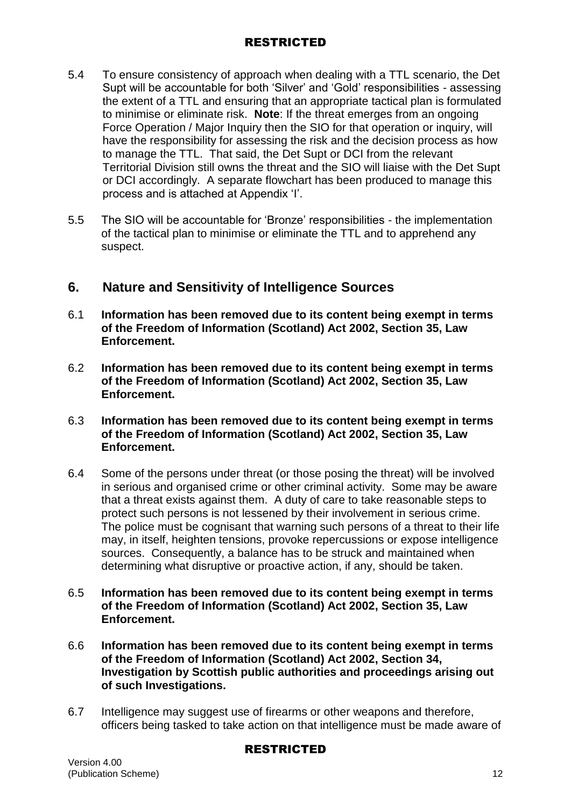- 5.4 To ensure consistency of approach when dealing with a TTL scenario, the Det Supt will be accountable for both 'Silver' and 'Gold' responsibilities - assessing the extent of a TTL and ensuring that an appropriate tactical plan is formulated to minimise or eliminate risk. **Note**: If the threat emerges from an ongoing Force Operation / Major Inquiry then the SIO for that operation or inquiry, will have the responsibility for assessing the risk and the decision process as how to manage the TTL. That said, the Det Supt or DCI from the relevant Territorial Division still owns the threat and the SIO will liaise with the Det Supt or DCI accordingly. A separate flowchart has been produced to manage this process and is attached at Appendix 'I'.
- 5.5 The SIO will be accountable for 'Bronze' responsibilities the implementation of the tactical plan to minimise or eliminate the TTL and to apprehend any suspect.

## **6. Nature and Sensitivity of Intelligence Sources**

- 6.1 **Information has been removed due to its content being exempt in terms of the Freedom of Information (Scotland) Act 2002, Section 35, Law Enforcement.**
- 6.2 **Information has been removed due to its content being exempt in terms of the Freedom of Information (Scotland) Act 2002, Section 35, Law Enforcement.**
- 6.3 **Information has been removed due to its content being exempt in terms of the Freedom of Information (Scotland) Act 2002, Section 35, Law Enforcement.**
- 6.4 Some of the persons under threat (or those posing the threat) will be involved in serious and organised crime or other criminal activity. Some may be aware that a threat exists against them. A duty of care to take reasonable steps to protect such persons is not lessened by their involvement in serious crime. The police must be cognisant that warning such persons of a threat to their life may, in itself, heighten tensions, provoke repercussions or expose intelligence sources. Consequently, a balance has to be struck and maintained when determining what disruptive or proactive action, if any, should be taken.
- 6.5 **Information has been removed due to its content being exempt in terms of the Freedom of Information (Scotland) Act 2002, Section 35, Law Enforcement.**
- 6.6 **Information has been removed due to its content being exempt in terms of the Freedom of Information (Scotland) Act 2002, Section 34, Investigation by Scottish public authorities and proceedings arising out of such Investigations.**
- 6.7 Intelligence may suggest use of firearms or other weapons and therefore, officers being tasked to take action on that intelligence must be made aware of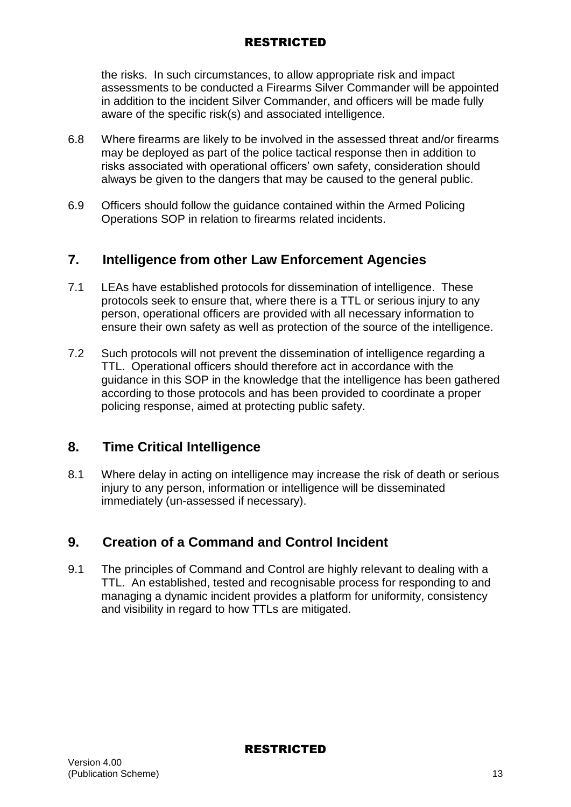the risks. In such circumstances, to allow appropriate risk and impact assessments to be conducted a Firearms Silver Commander will be appointed in addition to the incident Silver Commander, and officers will be made fully aware of the specific risk(s) and associated intelligence.

- 6.8 Where firearms are likely to be involved in the assessed threat and/or firearms may be deployed as part of the police tactical response then in addition to risks associated with operational officers' own safety, consideration should always be given to the dangers that may be caused to the general public.
- 6.9 Officers should follow the guidance contained within the Armed Policing Operations SOP in relation to firearms related incidents.

## **7. Intelligence from other Law Enforcement Agencies**

- 7.1 LEAs have established protocols for dissemination of intelligence. These protocols seek to ensure that, where there is a TTL or serious injury to any person, operational officers are provided with all necessary information to ensure their own safety as well as protection of the source of the intelligence.
- 7.2 Such protocols will not prevent the dissemination of intelligence regarding a TTL. Operational officers should therefore act in accordance with the guidance in this SOP in the knowledge that the intelligence has been gathered according to those protocols and has been provided to coordinate a proper policing response, aimed at protecting public safety.

## **8. Time Critical Intelligence**

8.1 Where delay in acting on intelligence may increase the risk of death or serious injury to any person, information or intelligence will be disseminated immediately (un-assessed if necessary).

# **9. Creation of a Command and Control Incident**

9.1 The principles of Command and Control are highly relevant to dealing with a TTL. An established, tested and recognisable process for responding to and managing a dynamic incident provides a platform for uniformity, consistency and visibility in regard to how TTLs are mitigated.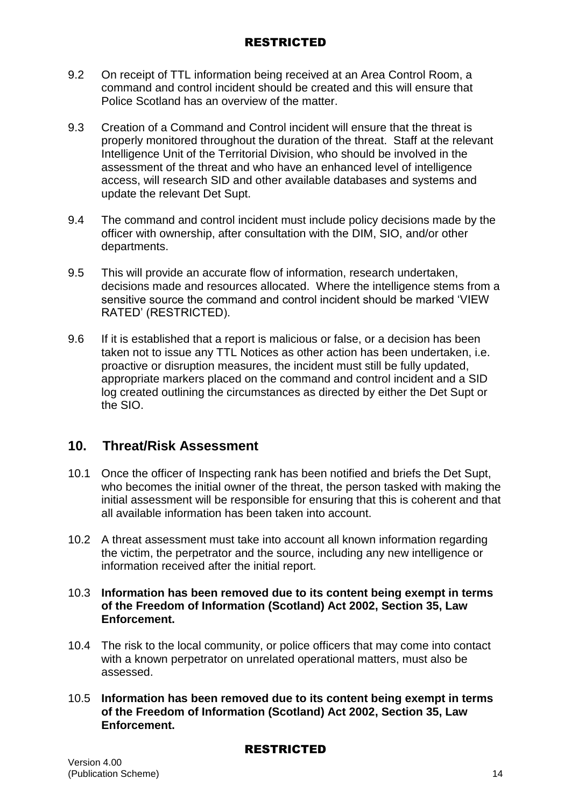- 9.2 On receipt of TTL information being received at an Area Control Room, a command and control incident should be created and this will ensure that Police Scotland has an overview of the matter.
- 9.3 Creation of a Command and Control incident will ensure that the threat is properly monitored throughout the duration of the threat. Staff at the relevant Intelligence Unit of the Territorial Division, who should be involved in the assessment of the threat and who have an enhanced level of intelligence access, will research SID and other available databases and systems and update the relevant Det Supt.
- 9.4 The command and control incident must include policy decisions made by the officer with ownership, after consultation with the DIM, SIO, and/or other departments.
- 9.5 This will provide an accurate flow of information, research undertaken, decisions made and resources allocated. Where the intelligence stems from a sensitive source the command and control incident should be marked 'VIEW RATED' (RESTRICTED).
- 9.6 If it is established that a report is malicious or false, or a decision has been taken not to issue any TTL Notices as other action has been undertaken, i.e. proactive or disruption measures, the incident must still be fully updated, appropriate markers placed on the command and control incident and a SID log created outlining the circumstances as directed by either the Det Supt or the SIO.

# **10. Threat/Risk Assessment**

- 10.1 Once the officer of Inspecting rank has been notified and briefs the Det Supt, who becomes the initial owner of the threat, the person tasked with making the initial assessment will be responsible for ensuring that this is coherent and that all available information has been taken into account.
- 10.2 A threat assessment must take into account all known information regarding the victim, the perpetrator and the source, including any new intelligence or information received after the initial report.

#### 10.3 **Information has been removed due to its content being exempt in terms of the Freedom of Information (Scotland) Act 2002, Section 35, Law Enforcement.**

- 10.4 The risk to the local community, or police officers that may come into contact with a known perpetrator on unrelated operational matters, must also be assessed.
- 10.5 **Information has been removed due to its content being exempt in terms of the Freedom of Information (Scotland) Act 2002, Section 35, Law Enforcement.**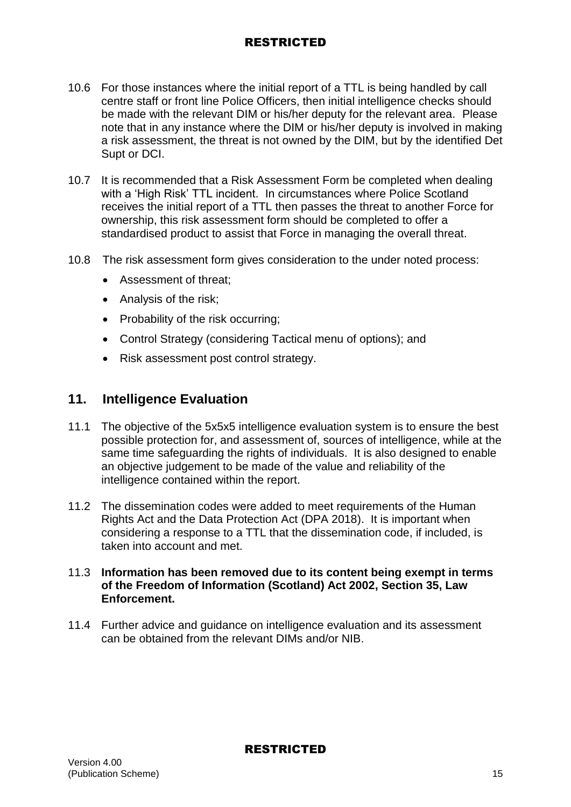- 10.6 For those instances where the initial report of a TTL is being handled by call centre staff or front line Police Officers, then initial intelligence checks should be made with the relevant DIM or his/her deputy for the relevant area. Please note that in any instance where the DIM or his/her deputy is involved in making a risk assessment, the threat is not owned by the DIM, but by the identified Det Supt or DCI.
- 10.7 It is recommended that a Risk Assessment Form be completed when dealing with a 'High Risk' TTL incident. In circumstances where Police Scotland receives the initial report of a TTL then passes the threat to another Force for ownership, this risk assessment form should be completed to offer a standardised product to assist that Force in managing the overall threat.
- 10.8 The risk assessment form gives consideration to the under noted process:
	- Assessment of threat;
	- Analysis of the risk;
	- Probability of the risk occurring;
	- Control Strategy (considering Tactical menu of options); and
	- Risk assessment post control strategy.

### **11. Intelligence Evaluation**

- 11.1 The objective of the 5x5x5 intelligence evaluation system is to ensure the best possible protection for, and assessment of, sources of intelligence, while at the same time safeguarding the rights of individuals. It is also designed to enable an objective judgement to be made of the value and reliability of the intelligence contained within the report.
- 11.2 The dissemination codes were added to meet requirements of the Human Rights Act and the Data Protection Act (DPA 2018). It is important when considering a response to a TTL that the dissemination code, if included, is taken into account and met.

#### 11.3 **Information has been removed due to its content being exempt in terms of the Freedom of Information (Scotland) Act 2002, Section 35, Law Enforcement.**

11.4 Further advice and guidance on intelligence evaluation and its assessment can be obtained from the relevant DIMs and/or NIB.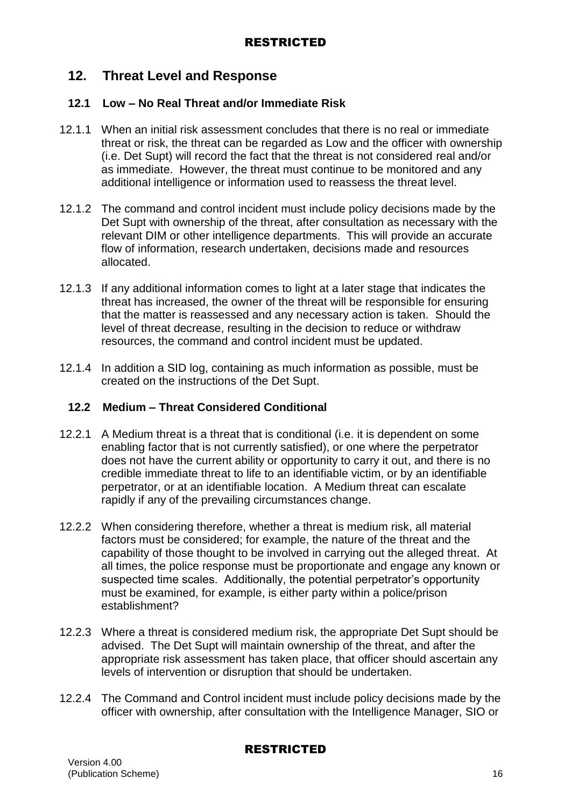## **12. Threat Level and Response**

#### **12.1 Low – No Real Threat and/or Immediate Risk**

- 12.1.1 When an initial risk assessment concludes that there is no real or immediate threat or risk, the threat can be regarded as Low and the officer with ownership (i.e. Det Supt) will record the fact that the threat is not considered real and/or as immediate. However, the threat must continue to be monitored and any additional intelligence or information used to reassess the threat level.
- 12.1.2 The command and control incident must include policy decisions made by the Det Supt with ownership of the threat, after consultation as necessary with the relevant DIM or other intelligence departments. This will provide an accurate flow of information, research undertaken, decisions made and resources allocated.
- 12.1.3 If any additional information comes to light at a later stage that indicates the threat has increased, the owner of the threat will be responsible for ensuring that the matter is reassessed and any necessary action is taken. Should the level of threat decrease, resulting in the decision to reduce or withdraw resources, the command and control incident must be updated.
- 12.1.4 In addition a SID log, containing as much information as possible, must be created on the instructions of the Det Supt.

#### **12.2 Medium – Threat Considered Conditional**

- 12.2.1 A Medium threat is a threat that is conditional (i.e. it is dependent on some enabling factor that is not currently satisfied), or one where the perpetrator does not have the current ability or opportunity to carry it out, and there is no credible immediate threat to life to an identifiable victim, or by an identifiable perpetrator, or at an identifiable location. A Medium threat can escalate rapidly if any of the prevailing circumstances change.
- 12.2.2 When considering therefore, whether a threat is medium risk, all material factors must be considered; for example, the nature of the threat and the capability of those thought to be involved in carrying out the alleged threat. At all times, the police response must be proportionate and engage any known or suspected time scales. Additionally, the potential perpetrator's opportunity must be examined, for example, is either party within a police/prison establishment?
- 12.2.3 Where a threat is considered medium risk, the appropriate Det Supt should be advised. The Det Supt will maintain ownership of the threat, and after the appropriate risk assessment has taken place, that officer should ascertain any levels of intervention or disruption that should be undertaken.
- 12.2.4 The Command and Control incident must include policy decisions made by the officer with ownership, after consultation with the Intelligence Manager, SIO or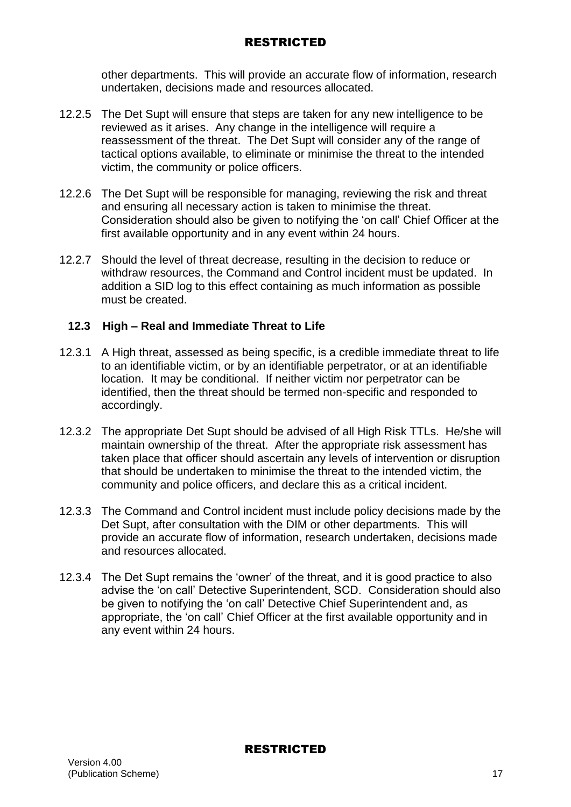other departments. This will provide an accurate flow of information, research undertaken, decisions made and resources allocated.

- 12.2.5 The Det Supt will ensure that steps are taken for any new intelligence to be reviewed as it arises. Any change in the intelligence will require a reassessment of the threat. The Det Supt will consider any of the range of tactical options available, to eliminate or minimise the threat to the intended victim, the community or police officers.
- 12.2.6 The Det Supt will be responsible for managing, reviewing the risk and threat and ensuring all necessary action is taken to minimise the threat. Consideration should also be given to notifying the 'on call' Chief Officer at the first available opportunity and in any event within 24 hours.
- 12.2.7 Should the level of threat decrease, resulting in the decision to reduce or withdraw resources, the Command and Control incident must be updated. In addition a SID log to this effect containing as much information as possible must be created.

## **12.3 High – Real and Immediate Threat to Life**

- 12.3.1 A High threat, assessed as being specific, is a credible immediate threat to life to an identifiable victim, or by an identifiable perpetrator, or at an identifiable location. It may be conditional. If neither victim nor perpetrator can be identified, then the threat should be termed non-specific and responded to accordingly.
- 12.3.2 The appropriate Det Supt should be advised of all High Risk TTLs. He/she will maintain ownership of the threat. After the appropriate risk assessment has taken place that officer should ascertain any levels of intervention or disruption that should be undertaken to minimise the threat to the intended victim, the community and police officers, and declare this as a critical incident.
- 12.3.3 The Command and Control incident must include policy decisions made by the Det Supt, after consultation with the DIM or other departments. This will provide an accurate flow of information, research undertaken, decisions made and resources allocated.
- 12.3.4 The Det Supt remains the 'owner' of the threat, and it is good practice to also advise the 'on call' Detective Superintendent, SCD. Consideration should also be given to notifying the 'on call' Detective Chief Superintendent and, as appropriate, the 'on call' Chief Officer at the first available opportunity and in any event within 24 hours.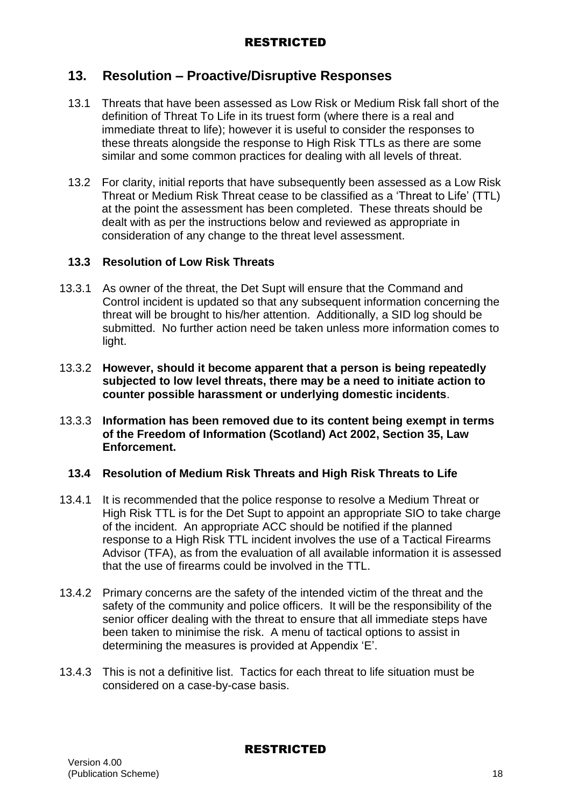## **13. Resolution – Proactive/Disruptive Responses**

- 13.1 Threats that have been assessed as Low Risk or Medium Risk fall short of the definition of Threat To Life in its truest form (where there is a real and immediate threat to life); however it is useful to consider the responses to these threats alongside the response to High Risk TTLs as there are some similar and some common practices for dealing with all levels of threat.
- 13.2 For clarity, initial reports that have subsequently been assessed as a Low Risk Threat or Medium Risk Threat cease to be classified as a 'Threat to Life' (TTL) at the point the assessment has been completed. These threats should be dealt with as per the instructions below and reviewed as appropriate in consideration of any change to the threat level assessment.

#### **13.3 Resolution of Low Risk Threats**

- 13.3.1 As owner of the threat, the Det Supt will ensure that the Command and Control incident is updated so that any subsequent information concerning the threat will be brought to his/her attention. Additionally, a SID log should be submitted. No further action need be taken unless more information comes to light.
- 13.3.2 **However, should it become apparent that a person is being repeatedly subjected to low level threats, there may be a need to initiate action to counter possible harassment or underlying domestic incidents**.
- 13.3.3 **Information has been removed due to its content being exempt in terms of the Freedom of Information (Scotland) Act 2002, Section 35, Law Enforcement.**

#### **13.4 Resolution of Medium Risk Threats and High Risk Threats to Life**

- 13.4.1 It is recommended that the police response to resolve a Medium Threat or High Risk TTL is for the Det Supt to appoint an appropriate SIO to take charge of the incident. An appropriate ACC should be notified if the planned response to a High Risk TTL incident involves the use of a Tactical Firearms Advisor (TFA), as from the evaluation of all available information it is assessed that the use of firearms could be involved in the TTL.
- 13.4.2 Primary concerns are the safety of the intended victim of the threat and the safety of the community and police officers. It will be the responsibility of the senior officer dealing with the threat to ensure that all immediate steps have been taken to minimise the risk. A menu of tactical options to assist in determining the measures is provided at Appendix 'E'.
- 13.4.3 This is not a definitive list. Tactics for each threat to life situation must be considered on a case-by-case basis.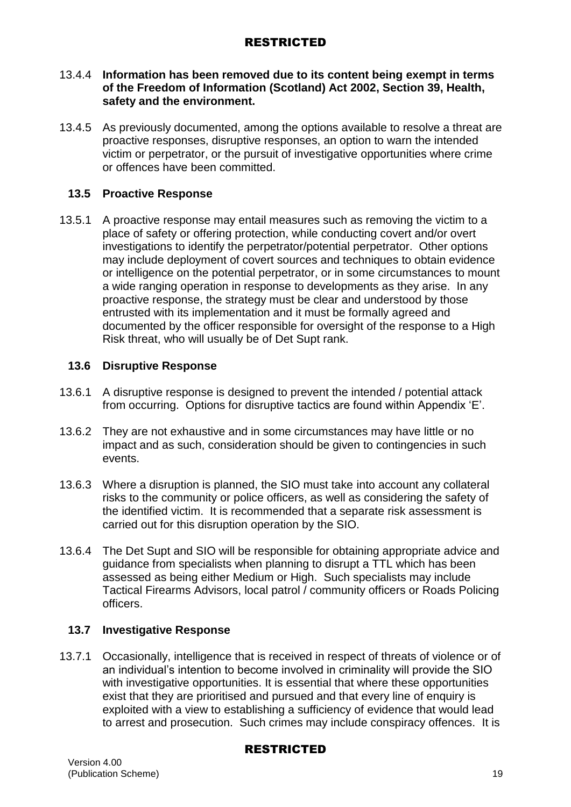#### 13.4.4 **Information has been removed due to its content being exempt in terms of the Freedom of Information (Scotland) Act 2002, Section 39, Health, safety and the environment.**

13.4.5 As previously documented, among the options available to resolve a threat are proactive responses, disruptive responses, an option to warn the intended victim or perpetrator, or the pursuit of investigative opportunities where crime or offences have been committed.

### **13.5 Proactive Response**

13.5.1 A proactive response may entail measures such as removing the victim to a place of safety or offering protection, while conducting covert and/or overt investigations to identify the perpetrator/potential perpetrator. Other options may include deployment of covert sources and techniques to obtain evidence or intelligence on the potential perpetrator, or in some circumstances to mount a wide ranging operation in response to developments as they arise. In any proactive response, the strategy must be clear and understood by those entrusted with its implementation and it must be formally agreed and documented by the officer responsible for oversight of the response to a High Risk threat, who will usually be of Det Supt rank.

#### **13.6 Disruptive Response**

- 13.6.1 A disruptive response is designed to prevent the intended / potential attack from occurring. Options for disruptive tactics are found within Appendix 'E'.
- 13.6.2 They are not exhaustive and in some circumstances may have little or no impact and as such, consideration should be given to contingencies in such events.
- 13.6.3 Where a disruption is planned, the SIO must take into account any collateral risks to the community or police officers, as well as considering the safety of the identified victim. It is recommended that a separate risk assessment is carried out for this disruption operation by the SIO.
- 13.6.4 The Det Supt and SIO will be responsible for obtaining appropriate advice and guidance from specialists when planning to disrupt a TTL which has been assessed as being either Medium or High. Such specialists may include Tactical Firearms Advisors, local patrol / community officers or Roads Policing officers.

## **13.7 Investigative Response**

13.7.1 Occasionally, intelligence that is received in respect of threats of violence or of an individual's intention to become involved in criminality will provide the SIO with investigative opportunities. It is essential that where these opportunities exist that they are prioritised and pursued and that every line of enquiry is exploited with a view to establishing a sufficiency of evidence that would lead to arrest and prosecution. Such crimes may include conspiracy offences. It is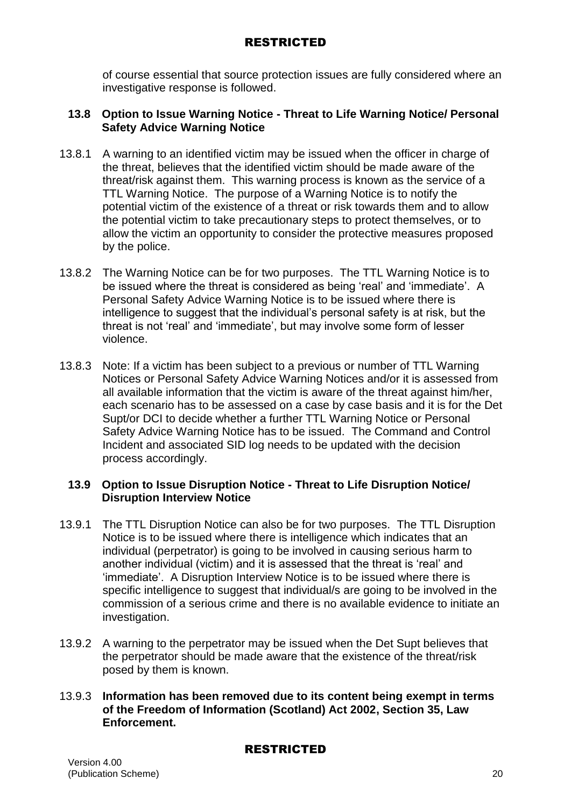of course essential that source protection issues are fully considered where an investigative response is followed.

#### **13.8 Option to Issue Warning Notice - Threat to Life Warning Notice/ Personal Safety Advice Warning Notice**

- 13.8.1 A warning to an identified victim may be issued when the officer in charge of the threat, believes that the identified victim should be made aware of the threat/risk against them. This warning process is known as the service of a TTL Warning Notice. The purpose of a Warning Notice is to notify the potential victim of the existence of a threat or risk towards them and to allow the potential victim to take precautionary steps to protect themselves, or to allow the victim an opportunity to consider the protective measures proposed by the police.
- 13.8.2 The Warning Notice can be for two purposes. The TTL Warning Notice is to be issued where the threat is considered as being 'real' and 'immediate'. A Personal Safety Advice Warning Notice is to be issued where there is intelligence to suggest that the individual's personal safety is at risk, but the threat is not 'real' and 'immediate', but may involve some form of lesser violence.
- 13.8.3 Note: If a victim has been subject to a previous or number of TTL Warning Notices or Personal Safety Advice Warning Notices and/or it is assessed from all available information that the victim is aware of the threat against him/her, each scenario has to be assessed on a case by case basis and it is for the Det Supt/or DCI to decide whether a further TTL Warning Notice or Personal Safety Advice Warning Notice has to be issued. The Command and Control Incident and associated SID log needs to be updated with the decision process accordingly.

#### **13.9 Option to Issue Disruption Notice - Threat to Life Disruption Notice/ Disruption Interview Notice**

- 13.9.1 The TTL Disruption Notice can also be for two purposes. The TTL Disruption Notice is to be issued where there is intelligence which indicates that an individual (perpetrator) is going to be involved in causing serious harm to another individual (victim) and it is assessed that the threat is 'real' and 'immediate'. A Disruption Interview Notice is to be issued where there is specific intelligence to suggest that individual/s are going to be involved in the commission of a serious crime and there is no available evidence to initiate an investigation.
- 13.9.2 A warning to the perpetrator may be issued when the Det Supt believes that the perpetrator should be made aware that the existence of the threat/risk posed by them is known.

#### 13.9.3 **Information has been removed due to its content being exempt in terms of the Freedom of Information (Scotland) Act 2002, Section 35, Law Enforcement.**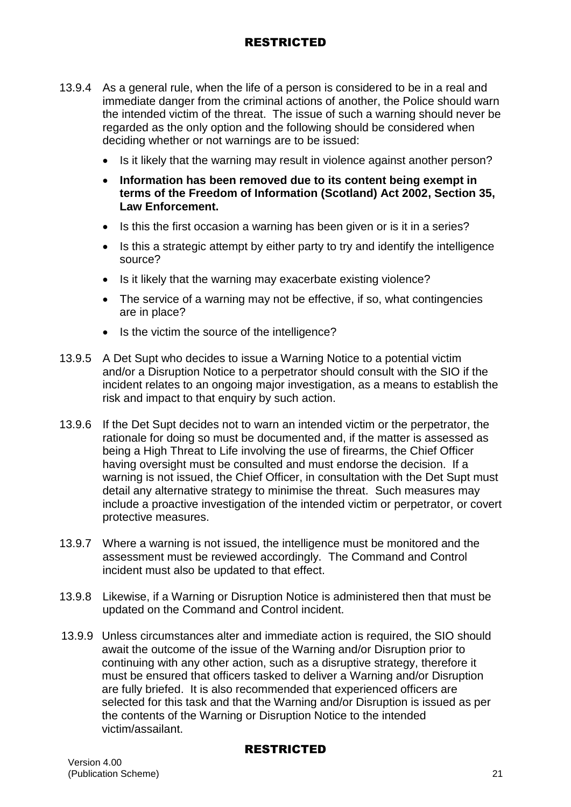- 13.9.4 As a general rule, when the life of a person is considered to be in a real and immediate danger from the criminal actions of another, the Police should warn the intended victim of the threat. The issue of such a warning should never be regarded as the only option and the following should be considered when deciding whether or not warnings are to be issued:
	- Is it likely that the warning may result in violence against another person?
	- **Information has been removed due to its content being exempt in terms of the Freedom of Information (Scotland) Act 2002, Section 35, Law Enforcement.**
	- Is this the first occasion a warning has been given or is it in a series?
	- Is this a strategic attempt by either party to try and identify the intelligence source?
	- Is it likely that the warning may exacerbate existing violence?
	- The service of a warning may not be effective, if so, what contingencies are in place?
	- Is the victim the source of the intelligence?
- 13.9.5 A Det Supt who decides to issue a Warning Notice to a potential victim and/or a Disruption Notice to a perpetrator should consult with the SIO if the incident relates to an ongoing major investigation, as a means to establish the risk and impact to that enquiry by such action.
- 13.9.6 If the Det Supt decides not to warn an intended victim or the perpetrator, the rationale for doing so must be documented and, if the matter is assessed as being a High Threat to Life involving the use of firearms, the Chief Officer having oversight must be consulted and must endorse the decision. If a warning is not issued, the Chief Officer, in consultation with the Det Supt must detail any alternative strategy to minimise the threat. Such measures may include a proactive investigation of the intended victim or perpetrator, or covert protective measures.
- 13.9.7 Where a warning is not issued, the intelligence must be monitored and the assessment must be reviewed accordingly. The Command and Control incident must also be updated to that effect.
- 13.9.8 Likewise, if a Warning or Disruption Notice is administered then that must be updated on the Command and Control incident.
- 13.9.9 Unless circumstances alter and immediate action is required, the SIO should await the outcome of the issue of the Warning and/or Disruption prior to continuing with any other action, such as a disruptive strategy, therefore it must be ensured that officers tasked to deliver a Warning and/or Disruption are fully briefed. It is also recommended that experienced officers are selected for this task and that the Warning and/or Disruption is issued as per the contents of the Warning or Disruption Notice to the intended victim/assailant.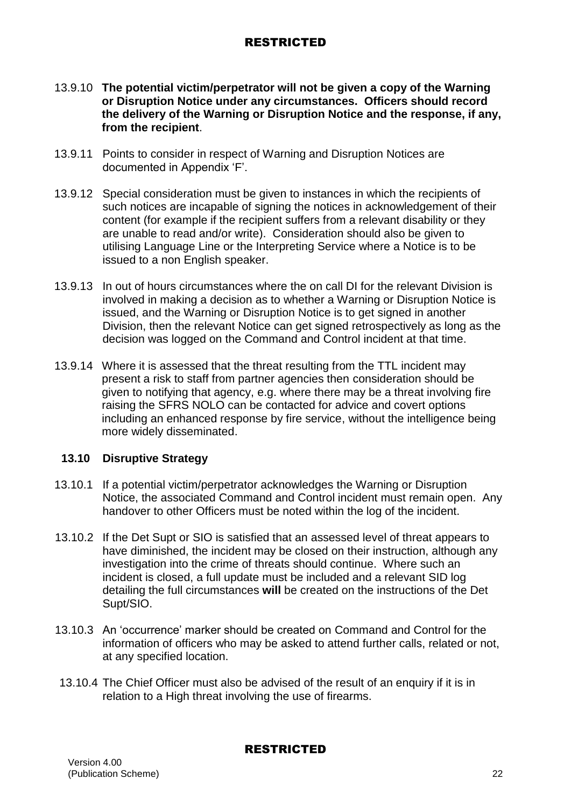- 13.9.10 **The potential victim/perpetrator will not be given a copy of the Warning or Disruption Notice under any circumstances. Officers should record the delivery of the Warning or Disruption Notice and the response, if any, from the recipient**.
- 13.9.11 Points to consider in respect of Warning and Disruption Notices are documented in Appendix 'F'.
- 13.9.12 Special consideration must be given to instances in which the recipients of such notices are incapable of signing the notices in acknowledgement of their content (for example if the recipient suffers from a relevant disability or they are unable to read and/or write). Consideration should also be given to utilising Language Line or the Interpreting Service where a Notice is to be issued to a non English speaker.
- 13.9.13 In out of hours circumstances where the on call DI for the relevant Division is involved in making a decision as to whether a Warning or Disruption Notice is issued, and the Warning or Disruption Notice is to get signed in another Division, then the relevant Notice can get signed retrospectively as long as the decision was logged on the Command and Control incident at that time.
- 13.9.14 Where it is assessed that the threat resulting from the TTL incident may present a risk to staff from partner agencies then consideration should be given to notifying that agency, e.g. where there may be a threat involving fire raising the SFRS NOLO can be contacted for advice and covert options including an enhanced response by fire service, without the intelligence being more widely disseminated.

#### **13.10 Disruptive Strategy**

- 13.10.1 If a potential victim/perpetrator acknowledges the Warning or Disruption Notice, the associated Command and Control incident must remain open. Any handover to other Officers must be noted within the log of the incident.
- 13.10.2 If the Det Supt or SIO is satisfied that an assessed level of threat appears to have diminished, the incident may be closed on their instruction, although any investigation into the crime of threats should continue. Where such an incident is closed, a full update must be included and a relevant SID log detailing the full circumstances **will** be created on the instructions of the Det Supt/SIO.
- 13.10.3 An 'occurrence' marker should be created on Command and Control for the information of officers who may be asked to attend further calls, related or not, at any specified location.
- 13.10.4 The Chief Officer must also be advised of the result of an enquiry if it is in relation to a High threat involving the use of firearms.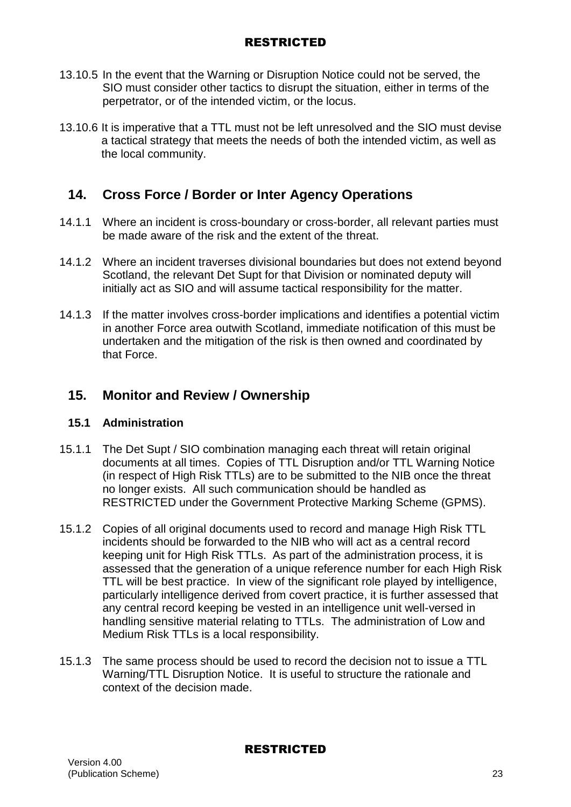- 13.10.5 In the event that the Warning or Disruption Notice could not be served, the SIO must consider other tactics to disrupt the situation, either in terms of the perpetrator, or of the intended victim, or the locus.
- 13.10.6 It is imperative that a TTL must not be left unresolved and the SIO must devise a tactical strategy that meets the needs of both the intended victim, as well as the local community.

# **14. Cross Force / Border or Inter Agency Operations**

- 14.1.1 Where an incident is cross-boundary or cross-border, all relevant parties must be made aware of the risk and the extent of the threat.
- 14.1.2 Where an incident traverses divisional boundaries but does not extend beyond Scotland, the relevant Det Supt for that Division or nominated deputy will initially act as SIO and will assume tactical responsibility for the matter.
- 14.1.3 If the matter involves cross-border implications and identifies a potential victim in another Force area outwith Scotland, immediate notification of this must be undertaken and the mitigation of the risk is then owned and coordinated by that Force.

# **15. Monitor and Review / Ownership**

## **15.1 Administration**

- 15.1.1 The Det Supt / SIO combination managing each threat will retain original documents at all times. Copies of TTL Disruption and/or TTL Warning Notice (in respect of High Risk TTLs) are to be submitted to the NIB once the threat no longer exists. All such communication should be handled as RESTRICTED under the Government Protective Marking Scheme (GPMS).
- 15.1.2 Copies of all original documents used to record and manage High Risk TTL incidents should be forwarded to the NIB who will act as a central record keeping unit for High Risk TTLs. As part of the administration process, it is assessed that the generation of a unique reference number for each High Risk TTL will be best practice. In view of the significant role played by intelligence, particularly intelligence derived from covert practice, it is further assessed that any central record keeping be vested in an intelligence unit well-versed in handling sensitive material relating to TTLs. The administration of Low and Medium Risk TTLs is a local responsibility.
- 15.1.3 The same process should be used to record the decision not to issue a TTL Warning/TTL Disruption Notice. It is useful to structure the rationale and context of the decision made.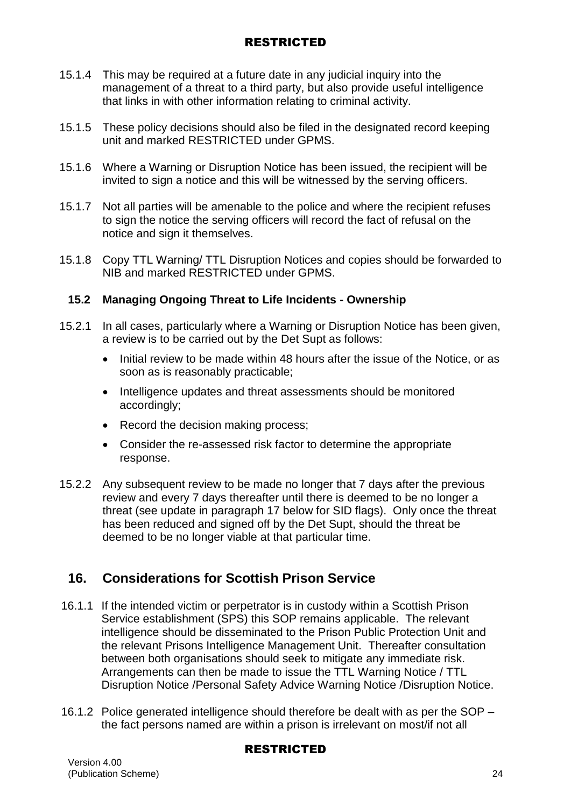- 15.1.4 This may be required at a future date in any judicial inquiry into the management of a threat to a third party, but also provide useful intelligence that links in with other information relating to criminal activity.
- 15.1.5 These policy decisions should also be filed in the designated record keeping unit and marked RESTRICTED under GPMS.
- 15.1.6 Where a Warning or Disruption Notice has been issued, the recipient will be invited to sign a notice and this will be witnessed by the serving officers.
- 15.1.7 Not all parties will be amenable to the police and where the recipient refuses to sign the notice the serving officers will record the fact of refusal on the notice and sign it themselves.
- 15.1.8 Copy TTL Warning/ TTL Disruption Notices and copies should be forwarded to NIB and marked RESTRICTED under GPMS.

## **15.2 Managing Ongoing Threat to Life Incidents - Ownership**

- 15.2.1 In all cases, particularly where a Warning or Disruption Notice has been given, a review is to be carried out by the Det Supt as follows:
	- Initial review to be made within 48 hours after the issue of the Notice, or as soon as is reasonably practicable;
	- Intelligence updates and threat assessments should be monitored accordingly;
	- Record the decision making process;
	- Consider the re-assessed risk factor to determine the appropriate response.
- 15.2.2 Any subsequent review to be made no longer that 7 days after the previous review and every 7 days thereafter until there is deemed to be no longer a threat (see update in paragraph 17 below for SID flags). Only once the threat has been reduced and signed off by the Det Supt, should the threat be deemed to be no longer viable at that particular time.

# **16. Considerations for Scottish Prison Service**

- 16.1.1 If the intended victim or perpetrator is in custody within a Scottish Prison Service establishment (SPS) this SOP remains applicable. The relevant intelligence should be disseminated to the Prison Public Protection Unit and the relevant Prisons Intelligence Management Unit. Thereafter consultation between both organisations should seek to mitigate any immediate risk. Arrangements can then be made to issue the TTL Warning Notice / TTL Disruption Notice /Personal Safety Advice Warning Notice /Disruption Notice.
- 16.1.2 Police generated intelligence should therefore be dealt with as per the SOP the fact persons named are within a prison is irrelevant on most/if not all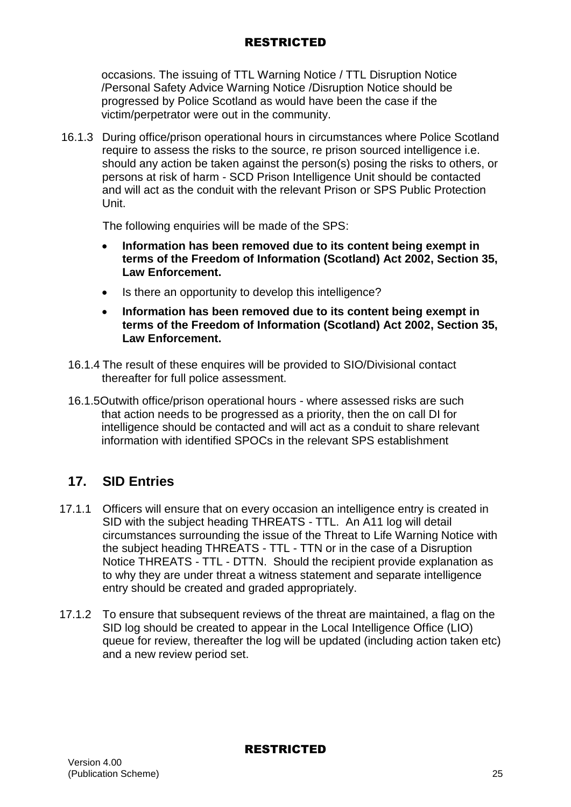occasions. The issuing of TTL Warning Notice / TTL Disruption Notice /Personal Safety Advice Warning Notice /Disruption Notice should be progressed by Police Scotland as would have been the case if the victim/perpetrator were out in the community.

16.1.3 During office/prison operational hours in circumstances where Police Scotland require to assess the risks to the source, re prison sourced intelligence i.e. should any action be taken against the person(s) posing the risks to others, or persons at risk of harm - SCD Prison Intelligence Unit should be contacted and will act as the conduit with the relevant Prison or SPS Public Protection Unit.

The following enquiries will be made of the SPS:

- **Information has been removed due to its content being exempt in terms of the Freedom of Information (Scotland) Act 2002, Section 35, Law Enforcement.**
- Is there an opportunity to develop this intelligence?
- **Information has been removed due to its content being exempt in terms of the Freedom of Information (Scotland) Act 2002, Section 35, Law Enforcement.**
- 16.1.4 The result of these enquires will be provided to SIO/Divisional contact thereafter for full police assessment.
- 16.1.5Outwith office/prison operational hours where assessed risks are such that action needs to be progressed as a priority, then the on call DI for intelligence should be contacted and will act as a conduit to share relevant information with identified SPOCs in the relevant SPS establishment

# **17. SID Entries**

- 17.1.1 Officers will ensure that on every occasion an intelligence entry is created in SID with the subject heading THREATS - TTL. An A11 log will detail circumstances surrounding the issue of the Threat to Life Warning Notice with the subject heading THREATS - TTL - TTN or in the case of a Disruption Notice THREATS - TTL - DTTN. Should the recipient provide explanation as to why they are under threat a witness statement and separate intelligence entry should be created and graded appropriately.
- 17.1.2 To ensure that subsequent reviews of the threat are maintained, a flag on the SID log should be created to appear in the Local Intelligence Office (LIO) queue for review, thereafter the log will be updated (including action taken etc) and a new review period set.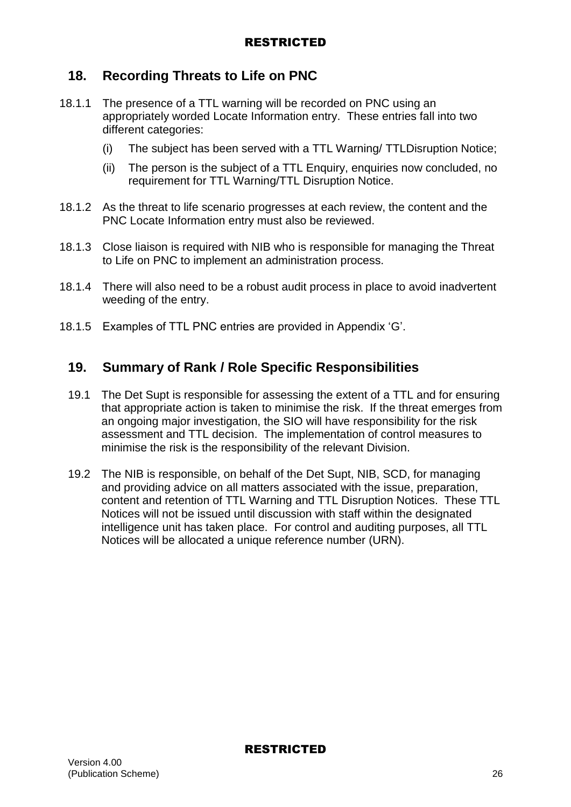# **18. Recording Threats to Life on PNC**

- 18.1.1 The presence of a TTL warning will be recorded on PNC using an appropriately worded Locate Information entry. These entries fall into two different categories:
	- (i) The subject has been served with a TTL Warning/ TTLDisruption Notice;
	- (ii) The person is the subject of a TTL Enquiry, enquiries now concluded, no requirement for TTL Warning/TTL Disruption Notice.
- 18.1.2 As the threat to life scenario progresses at each review, the content and the PNC Locate Information entry must also be reviewed.
- 18.1.3 Close liaison is required with NIB who is responsible for managing the Threat to Life on PNC to implement an administration process.
- 18.1.4 There will also need to be a robust audit process in place to avoid inadvertent weeding of the entry.
- 18.1.5 Examples of TTL PNC entries are provided in Appendix 'G'.

## **19. Summary of Rank / Role Specific Responsibilities**

- 19.1 The Det Supt is responsible for assessing the extent of a TTL and for ensuring that appropriate action is taken to minimise the risk. If the threat emerges from an ongoing major investigation, the SIO will have responsibility for the risk assessment and TTL decision. The implementation of control measures to minimise the risk is the responsibility of the relevant Division.
- 19.2 The NIB is responsible, on behalf of the Det Supt, NIB, SCD, for managing and providing advice on all matters associated with the issue, preparation, content and retention of TTL Warning and TTL Disruption Notices. These TTL Notices will not be issued until discussion with staff within the designated intelligence unit has taken place. For control and auditing purposes, all TTL Notices will be allocated a unique reference number (URN).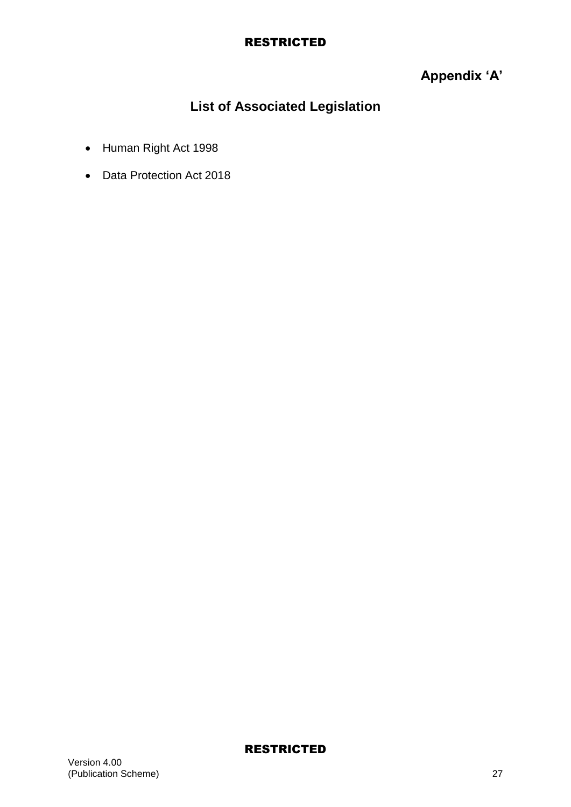# **Appendix 'A'**

# **List of Associated Legislation**

- Human Right Act 1998
- Data Protection Act 2018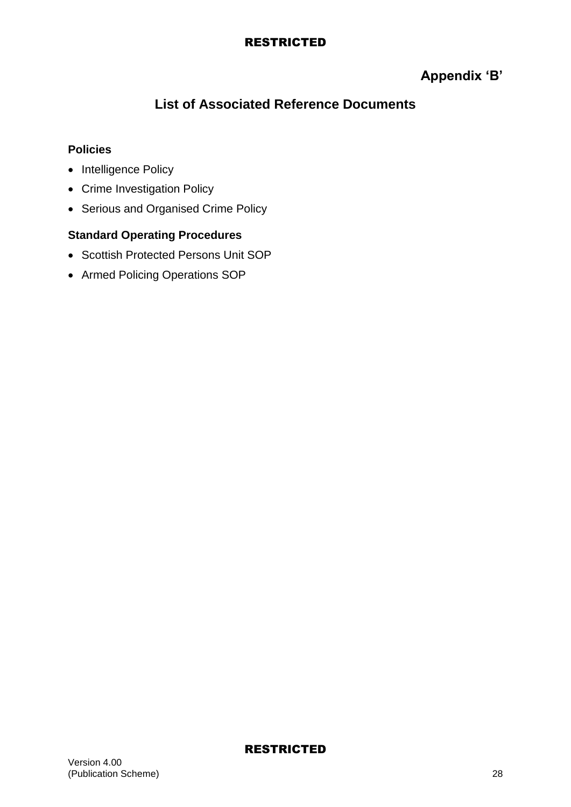# **Appendix 'B'**

# **List of Associated Reference Documents**

## **Policies**

- Intelligence Policy
- Crime Investigation Policy
- Serious and Organised Crime Policy

## **Standard Operating Procedures**

- Scottish Protected Persons Unit SOP
- Armed Policing Operations SOP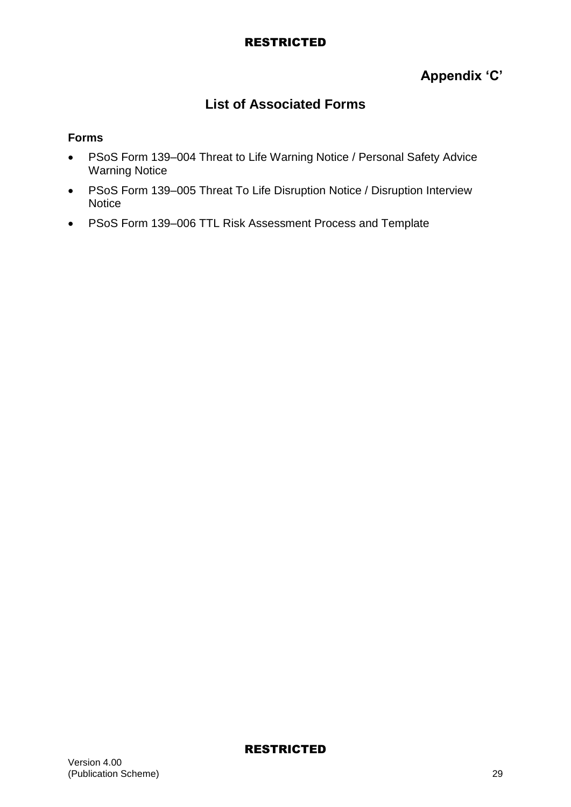# **Appendix 'C'**

# **List of Associated Forms**

#### **Forms**

- PSoS Form 139–004 Threat to Life Warning Notice / Personal Safety Advice Warning Notice
- PSoS Form 139–005 Threat To Life Disruption Notice / Disruption Interview **Notice**
- PSoS Form 139–006 TTL Risk Assessment Process and Template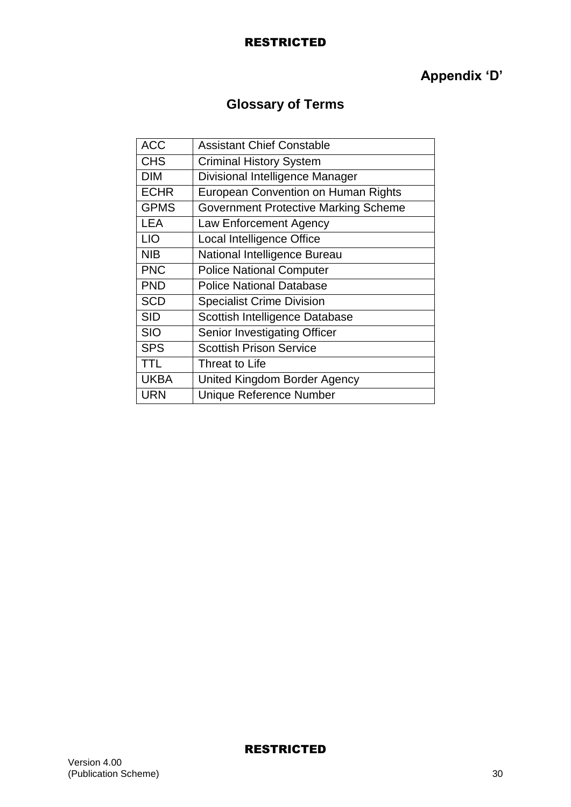# **Appendix 'D'**

# **Glossary of Terms**

| ACC         | <b>Assistant Chief Constable</b>            |
|-------------|---------------------------------------------|
| <b>CHS</b>  | <b>Criminal History System</b>              |
| <b>DIM</b>  | Divisional Intelligence Manager             |
| <b>ECHR</b> | European Convention on Human Rights         |
| <b>GPMS</b> | <b>Government Protective Marking Scheme</b> |
| <b>LEA</b>  | Law Enforcement Agency                      |
| <b>LIO</b>  | Local Intelligence Office                   |
| <b>NIB</b>  | National Intelligence Bureau                |
| <b>PNC</b>  | <b>Police National Computer</b>             |
| <b>PND</b>  | <b>Police National Database</b>             |
| <b>SCD</b>  | <b>Specialist Crime Division</b>            |
| <b>SID</b>  | Scottish Intelligence Database              |
| <b>SIO</b>  | Senior Investigating Officer                |
| <b>SPS</b>  | <b>Scottish Prison Service</b>              |
| <b>TTL</b>  | Threat to Life                              |
| <b>UKBA</b> | United Kingdom Border Agency                |
| <b>URN</b>  | Unique Reference Number                     |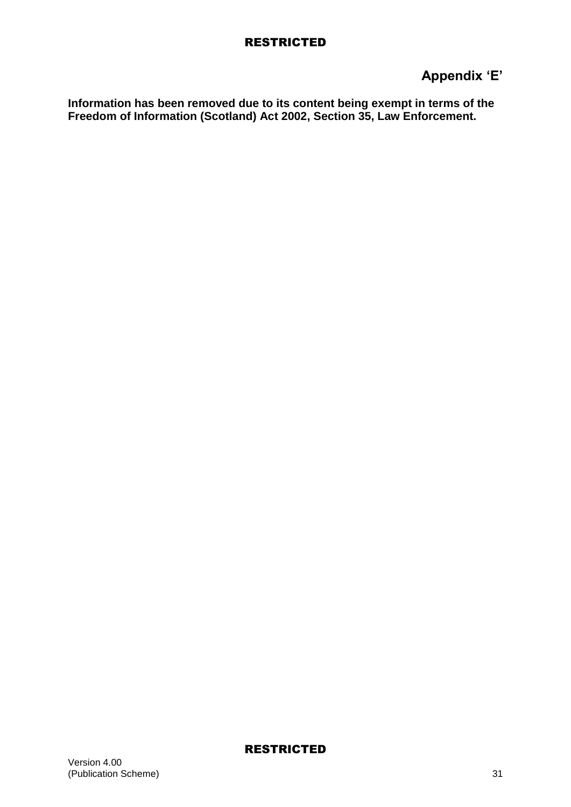# **Appendix 'E'**

**Information has been removed due to its content being exempt in terms of the Freedom of Information (Scotland) Act 2002, Section 35, Law Enforcement.**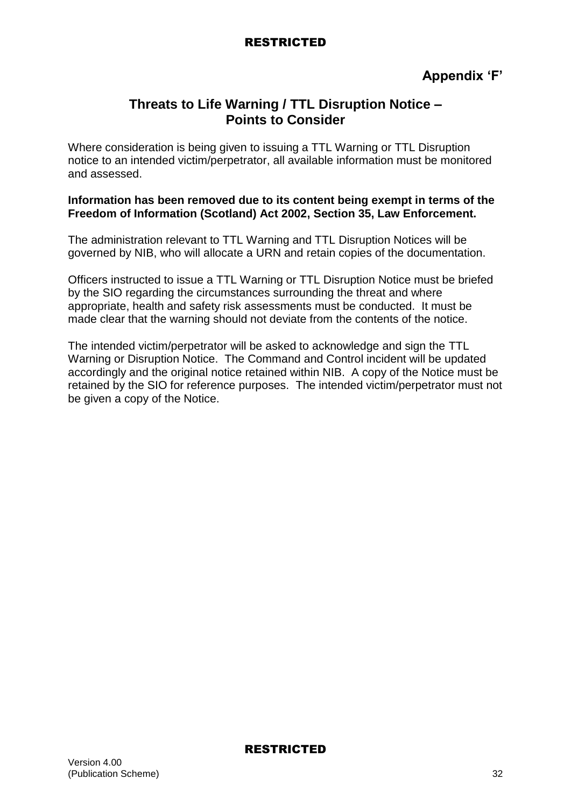## **Threats to Life Warning / TTL Disruption Notice – Points to Consider**

Where consideration is being given to issuing a TTL Warning or TTL Disruption notice to an intended victim/perpetrator, all available information must be monitored and assessed.

#### **Information has been removed due to its content being exempt in terms of the Freedom of Information (Scotland) Act 2002, Section 35, Law Enforcement.**

The administration relevant to TTL Warning and TTL Disruption Notices will be governed by NIB, who will allocate a URN and retain copies of the documentation.

Officers instructed to issue a TTL Warning or TTL Disruption Notice must be briefed by the SIO regarding the circumstances surrounding the threat and where appropriate, health and safety risk assessments must be conducted. It must be made clear that the warning should not deviate from the contents of the notice.

The intended victim/perpetrator will be asked to acknowledge and sign the TTL Warning or Disruption Notice. The Command and Control incident will be updated accordingly and the original notice retained within NIB. A copy of the Notice must be retained by the SIO for reference purposes. The intended victim/perpetrator must not be given a copy of the Notice.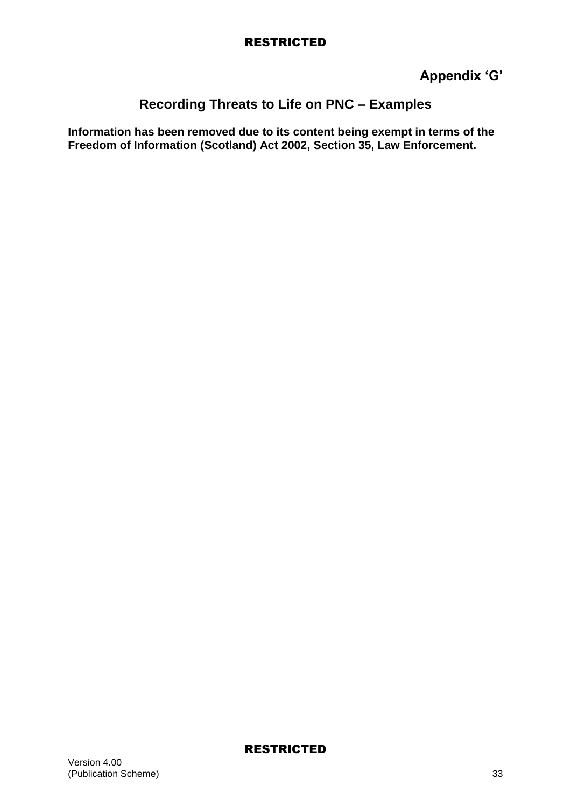**Appendix 'G'**

# **Recording Threats to Life on PNC – Examples**

**Information has been removed due to its content being exempt in terms of the Freedom of Information (Scotland) Act 2002, Section 35, Law Enforcement.**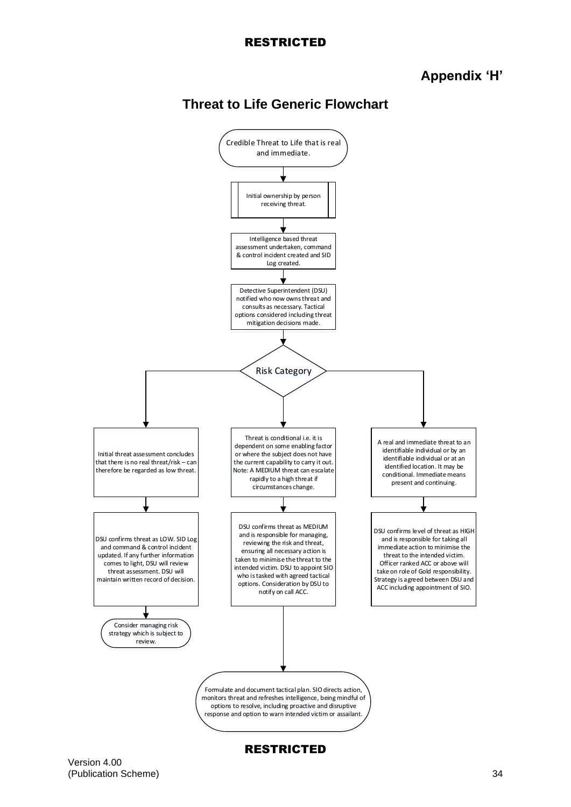## **Appendix 'H'**